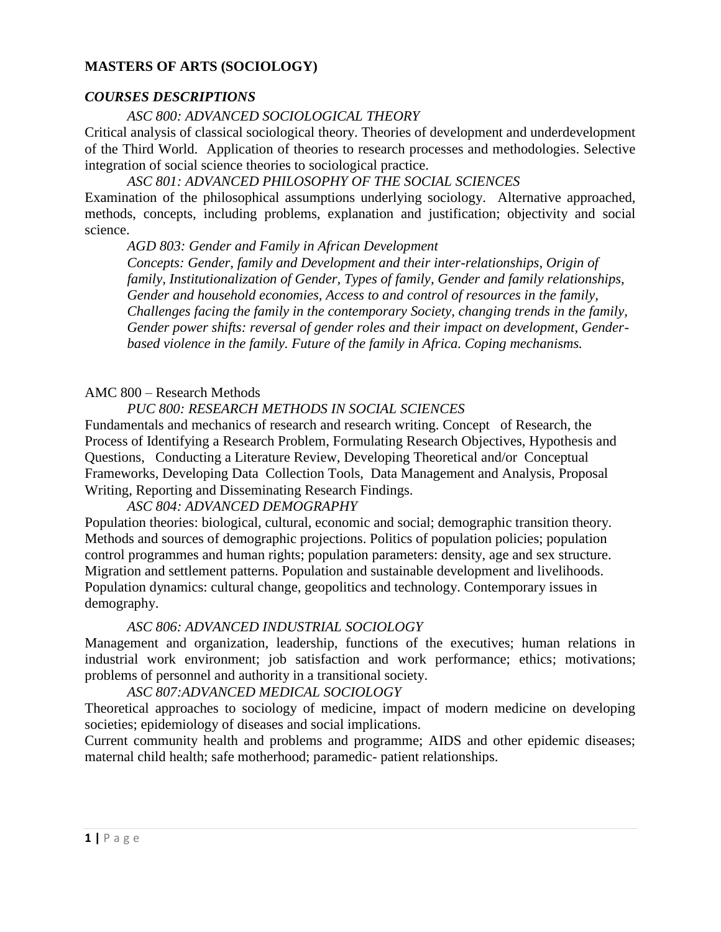### **MASTERS OF ARTS (SOCIOLOGY)**

## *COURSES DESCRIPTIONS*

#### *ASC 800: ADVANCED SOCIOLOGICAL THEORY*

Critical analysis of classical sociological theory. Theories of development and underdevelopment of the Third World. Application of theories to research processes and methodologies. Selective integration of social science theories to sociological practice.

*ASC 801: ADVANCED PHILOSOPHY OF THE SOCIAL SCIENCES*

Examination of the philosophical assumptions underlying sociology. Alternative approached, methods, concepts, including problems, explanation and justification; objectivity and social science.

*AGD 803: Gender and Family in African Development* 

*Concepts: Gender, family and Development and their inter-relationships, Origin of family, Institutionalization of Gender, Types of family, Gender and family relationships, Gender and household economies, Access to and control of resources in the family, Challenges facing the family in the contemporary Society, changing trends in the family, Gender power shifts: reversal of gender roles and their impact on development, Genderbased violence in the family. Future of the family in Africa. Coping mechanisms.* 

### AMC 800 – Research Methods

### *PUC 800: RESEARCH METHODS IN SOCIAL SCIENCES*

Fundamentals and mechanics of research and research writing. Concept of Research, the Process of Identifying a Research Problem, Formulating Research Objectives, Hypothesis and Questions, Conducting a Literature Review, Developing Theoretical and/or Conceptual Frameworks, Developing Data Collection Tools, Data Management and Analysis, Proposal Writing, Reporting and Disseminating Research Findings.

#### *ASC 804: ADVANCED DEMOGRAPHY*

Population theories: biological, cultural, economic and social; demographic transition theory. Methods and sources of demographic projections. Politics of population policies; population control programmes and human rights; population parameters: density, age and sex structure. Migration and settlement patterns. Population and sustainable development and livelihoods. Population dynamics: cultural change, geopolitics and technology. Contemporary issues in demography.

### *ASC 806: ADVANCED INDUSTRIAL SOCIOLOGY*

Management and organization, leadership, functions of the executives; human relations in industrial work environment; job satisfaction and work performance; ethics; motivations; problems of personnel and authority in a transitional society.

### *ASC 807:ADVANCED MEDICAL SOCIOLOGY*

Theoretical approaches to sociology of medicine, impact of modern medicine on developing societies; epidemiology of diseases and social implications.

Current community health and problems and programme; AIDS and other epidemic diseases; maternal child health; safe motherhood; paramedic- patient relationships.